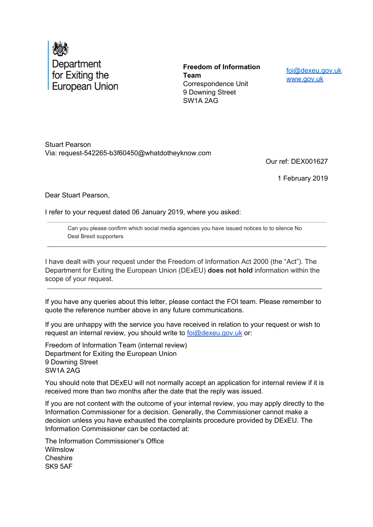

**Freedom of Information Team** Correspondence Unit 9 Downing Street SW1A 2AG

foi@dexeu.gov.uk www.gov.uk

Stuart Pearson Via: request-542265-b3f60450@whatdotheyknow.com

Our ref: DEX001627

1 February 2019

Dear Stuart Pearson,

I refer to your request dated 06 January 2019, where you asked:

Can you please confirm which social media agencies you have issued notices to to silence No Deal Brexit supporters

I have dealt with your request under the Freedom of Information Act 2000 (the "Act"). The Department for Exiting the European Union (DExEU) **does not hold** information within the scope of your request.

If you have any queries about this letter, please contact the FOI team. Please remember to quote the reference number above in any future communications.

If you are unhappy with the service you have received in relation to your request or wish to request an internal review, you should write to  $\frac{\partial \omega}{\partial x}$  ov. uk or:

Freedom of Information Team (internal review) Department for Exiting the European Union 9 Downing Street SW1A 2AG

You should note that DExEU will not normally accept an application for internal review if it is received more than two months after the date that the reply was issued.

If you are not content with the outcome of your internal review, you may apply directly to the Information Commissioner for a decision. Generally, the Commissioner cannot make a decision unless you have exhausted the complaints procedure provided by DExEU. The Information Commissioner can be contacted at:

The Information Commissioner's Office Wilmslow **Cheshire** SK9 5AF